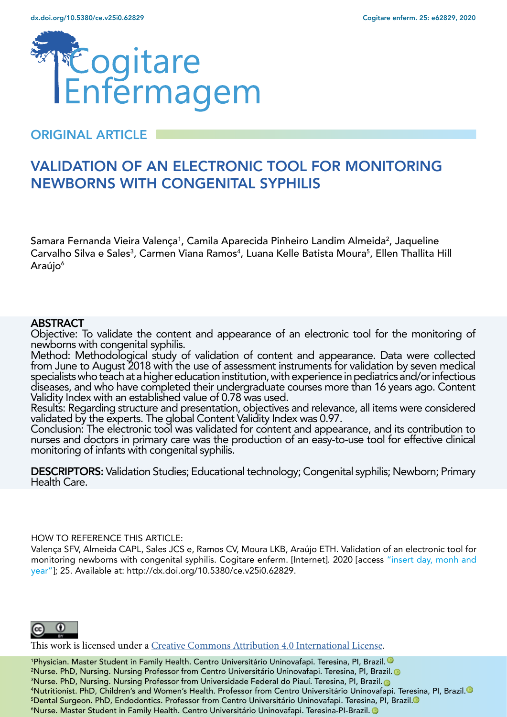

## ORIGINAL ARTICLE

# VALIDATION OF AN ELECTRONIC TOOL FOR MONITORING NEWBORNS WITH CONGENITAL SYPHILIS

Samara Fernanda Vieira Valença<sup>1</sup>, Camila Aparecida Pinheiro Landim Almeida<sup>2</sup>, Jaqueline Carvalho Silva e Sales<sup>3</sup>, Carmen Viana Ramos<sup>4</sup>, Luana Kelle Batista Moura<sup>5</sup>, Ellen Thallita Hill Araújo<sup>6</sup>

#### **ABSTRACT**

Objective: To validate the content and appearance of an electronic tool for the monitoring of newborns with congenital syphilis.

Method: Methodological study of validation of content and appearance. Data were collected from June to August 2018 with the use of assessment instruments for validation by seven medical specialists who teach at a higher education institution, with experience in pediatrics and/or infectious diseases, and who have completed their undergraduate courses more than 16 years ago. Content Validity Index with an established value of 0.78 was used.

Results: Regarding structure and presentation, objectives and relevance, all items were considered validated by the experts. The global Content Validity Index was 0.97.

Conclusion: The electronic tool was validated for content and appearance, and its contribution to nurses and doctors in primary care was the production of an easy-to-use tool for effective clinical monitoring of infants with congenital syphilis.

DESCRIPTORS: Validation Studies; Educational technology; Congenital syphilis; Newborn; Primary Health Care.

#### HOW TO REFERENCE THIS ARTICLE:

Valença SFV, Almeida CAPL, Sales JCS e, Ramos CV, Moura LKB, Araújo ETH. Validation of an electronic tool for monitoring newborns with congenital syphilis. Cogitare enferm. [Internet]. 2020 [access "insert day, monh and year"]; 25. Available at: http://dx.doi.org/10.5380/ce.v25i0.62829.



This work is licensed under a [Creative Commons Attribution 4.0 International License](https://creativecommons.org/licenses/by/4.0/).

 Physician. Master Student in Family Health. Centro Universitário Uninovafapi. Teresina, PI, Brazil[.](https://orcid.org/0000-0002-8394-8184) Nurse. PhD, Nursing. Nursing Professor from Centro Universitário Uninovafapi. Teresina, PI, Brazil[.](http://orcid.org/0000-0003-4843-4572) Nurse. PhD, Nursing. Nursing Professor from Universidade Federal do Piauí. Teresina, PI, Brazil[.](https://orcid.org/0000-0001-5322-3142) Nutritionist. PhD, Children's and Women's Health. Professor from Centro Universitário Uninovafapi. Teresina, PI, Brazil[.](http://orcid.org/0000-0003-3378-0149) Dental Surgeon. PhD, Endodontics. Professor from Centro Universitário Uninovafapi. Teresina, PI, Brazil[.](http://orcid.org/0000-0003-4917-7598)  Nurse. Master Student in Family Health. Centro Universitário Uninovafapi. Teresina-PI-Brazil.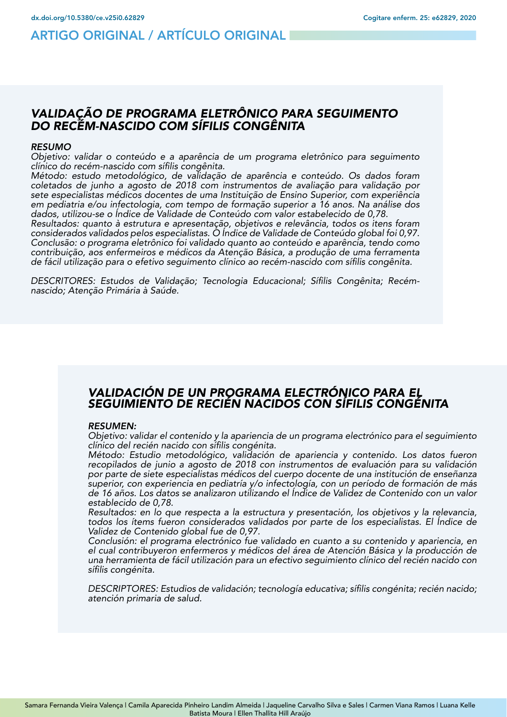## ARTIGO ORIGINAL / ARTÍCULO ORIGINAL

#### *VALIDAÇÃO DE PROGRAMA ELETRÔNICO PARA SEGUIMENTO DO RECÉM-NASCIDO COM SÍFILIS CONGÊNITA*

#### *RESUMO*

*Objetivo: validar o conteúdo e a aparência de um programa eletrônico para seguimento*  clínico do recém-nascido com sífilis congênita.

Método: estudo metodológico, de validação de aparência e conteúdo. Os dados foram *coletados de junho a agosto de 2018 com instrumentos de avaliação para validação por sete especialistas médicos docentes de uma Instituição de Ensino Superior, com experiência*  em pediatria e/ou infectologia, com tempo de formação superior a 16 anos. Na análise dos dados, utilizou-se o Índice de Validade de Conteúdo com valor estabelecido de 0,78.

Resultados: quanto à estrutura e apresentação, objetivos e relevância, todos os itens foram considerados validados pelos especialistas. O Índice de Validade de Conteúdo global foi 0,97. Conclusão: o programa eletrônico foi validado quanto ao conteúdo e aparência, tendo como contribuição, aos enfermeiros e médicos da Atenção Básica, a produção de uma ferramenta de fácil utilização para o efetivo seguimento clínico ao recém-nascido com sífilis congênita.

DESCRITORES: Estudos de Validação; Tecnologia Educacional; Sífilis Congênita; Recémnascido; Atenção Primária à Saúde.

#### *VALIDACIÓN DE UN PROGRAMA ELECTRÓNICO PARA EL SEGUIMIENTO DE RECIÉN NACIDOS CON SÍFILIS CONGÉNITA*

#### *RESUMEN:*

*Objetivo: validar el contenido y la apariencia de un programa electrónico para el seguimiento*  clínico del recién nacido con sífilis congénita.

Método: Estudio metodológico, validación de apariencia y contenido. Los datos fueron *recopilados de junio a agosto de 2018 con instrumentos de evaluación para su validación por parte de siete especialistas médicos del cuerpo docente de una institución de enseñanza*  superior, con experiencia en pediatría y/o infectología, con un período de formación de más de 16 años. Los datos se analizaron utilizando el Índice de Validez de Contenido con un valor establecido de 0,78.

*Resultados: en lo que respecta a la estructura y presentación, los objetivos y la relevancia,*  todos los ítems fueron considerados validados por parte de los especialistas. El Índice de Validez de Contenido global fue de 0,97.

Conclusión: el programa electrónico fue validado en cuanto a su contenido y apariencia, en el cual contribuyeron enfermeros y médicos del área de Atención Básica y la producción de una herramienta de fácil utilización para un efectivo seguimiento clínico del recién nacido con sífilis congénita.

DESCRIPTORES: Estudios de validación; tecnología educativa; sífilis congénita; recién nacido; atención primaria de salud.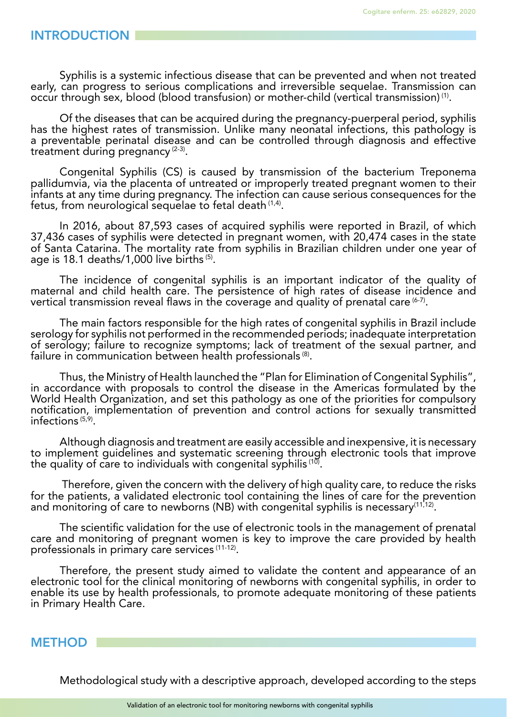#### INTRODUCTION

Syphilis is a systemic infectious disease that can be prevented and when not treated early, can progress to serious complications and irreversible sequelae. Transmission can occur through sex, blood (blood transfusion) or mother-child (vertical transmission) (1).

Of the diseases that can be acquired during the pregnancy-puerperal period, syphilis has the highest rates of transmission. Unlike many neonatal infections, this pathology is a preventable perinatal disease and can be controlled through diagnosis and effective treatment during pregnancy  $(2-3)$ .

Congenital Syphilis (CS) is caused by transmission of the bacterium Treponema pallidumvia, via the placenta of untreated or improperly treated pregnant women to their infants at any time during pregnancy. The infection can cause serious consequences for the fetus, from neurological sequelae to fetal death (1,4).

In 2016, about 87,593 cases of acquired syphilis were reported in Brazil, of which 37,436 cases of syphilis were detected in pregnant women, with 20,474 cases in the state of Santa Catarina. The mortality rate from syphilis in Brazilian children under one year of age is 18.1 deaths/1,000 live births (5).

The incidence of congenital syphilis is an important indicator of the quality of maternal and child health care. The persistence of high rates of disease incidence and vertical transmission reveal flaws in the coverage and quality of prenatal care  $(6-7)$ .

The main factors responsible for the high rates of congenital syphilis in Brazil include serology for syphilis not performed in the recommended periods; inadequate interpretation of serology; failure to recognize symptoms; lack of treatment of the sexual partner, and failure in communication between health professionals (8).

Thus, the Ministry of Health launched the "Plan for Elimination of Congenital Syphilis", in accordance with proposals to control the disease in the Americas formulated by the World Health Organization, and set this pathology as one of the priorities for compulsory notification, implementation of prevention and control actions for sexually transmitted infections (5,9).

Although diagnosis and treatment are easily accessible and inexpensive, it is necessary to implement guidelines and systematic screening through electronic tools that improve the quality of care to individuals with congenital syphilis  $(10)$ .

 Therefore, given the concern with the delivery of high quality care, to reduce the risks for the patients, a validated electronic tool containing the lines of care for the prevention and monitoring of care to newborns (NB) with congenital syphilis is necessary<sup>(11,12)</sup>.

The scientific validation for the use of electronic tools in the management of prenatal care and monitoring of pregnant women is key to improve the care provided by health professionals in primary care services (11-12).

Therefore, the present study aimed to validate the content and appearance of an electronic tool for the clinical monitoring of newborns with congenital syphilis, in order to enable its use by health professionals, to promote adequate monitoring of these patients in Primary Health Care.

#### METHOD

Methodological study with a descriptive approach, developed according to the steps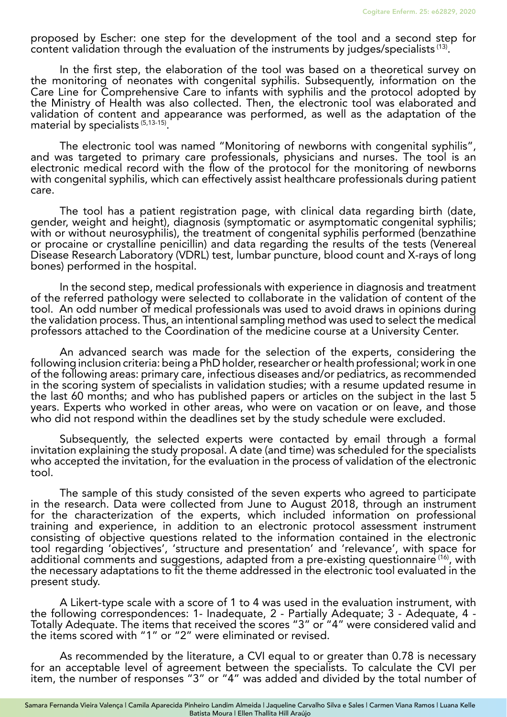proposed by Escher: one step for the development of the tool and a second step for content validation through the evaluation of the instruments by judges/specialists (13).

In the first step, the elaboration of the tool was based on a theoretical survey on the monitoring of neonates with congenital syphilis. Subsequently, information on the Care Line for Comprehensive Care to infants with syphilis and the protocol adopted by the Ministry of Health was also collected. Then, the electronic tool was elaborated and validation of content and appearance was performed, as well as the adaptation of the material by specialists (5,13-15).

The electronic tool was named "Monitoring of newborns with congenital syphilis", and was targeted to primary care professionals, physicians and nurses. The tool is an electronic medical record with the flow of the protocol for the monitoring of newborns with congenital syphilis, which can effectively assist healthcare professionals during patient care.

The tool has a patient registration page, with clinical data regarding birth (date, gender, weight and height), diagnosis (symptomatic or asymptomatic congenital syphilis; with or without neurosyphilis), the treatment of congenital syphilis performed (benzathine or procaine or crystalline penicillin) and data regarding the results of the tests (Venereal Disease Research Laboratory (VDRL) test, lumbar puncture, blood count and X-rays of long bones) performed in the hospital.

In the second step, medical professionals with experience in diagnosis and treatment of the referred pathology were selected to collaborate in the validation of content of the tool. An odd number of medical professionals was used to avoid draws in opinions during the validation process. Thus, an intentional sampling method was used to select the medical professors attached to the Coordination of the medicine course at a University Center.

An advanced search was made for the selection of the experts, considering the following inclusion criteria: being a PhD holder, researcher or health professional; work in one of the following areas: primary care, infectious diseases and/or pediatrics, as recommended in the scoring system of specialists in validation studies; with a resume updated resume in the last 60 months; and who has published papers or articles on the subject in the last 5 years. Experts who worked in other areas, who were on vacation or on leave, and those who did not respond within the deadlines set by the study schedule were excluded.

Subsequently, the selected experts were contacted by email through a formal invitation explaining the study proposal. A date (and time) was scheduled for the specialists who accepted the invitation, for the evaluation in the process of validation of the electronic tool.

The sample of this study consisted of the seven experts who agreed to participate in the research. Data were collected from June to August 2018, through an instrument for the characterization of the experts, which included information on professional training and experience, in addition to an electronic protocol assessment instrument consisting of objective questions related to the information contained in the electronic tool regarding 'objectives', 'structure and presentation' and 'relevance', with space for additional comments and suggestions, adapted from a pre-existing questionnaire <sup>(16)</sup>, with the necessary adaptations to fit the theme addressed in the electronic tool evaluated in the present study.

A Likert-type scale with a score of 1 to 4 was used in the evaluation instrument, with the following correspondences: 1- Inadequate, 2 - Partially Adequate; 3 - Adequate, 4 - Totally Adequate. The items that received the scores "3" or "4" were considered valid and the items scored with "1" or "2" were eliminated or revised.

As recommended by the literature, a CVI equal to or greater than 0.78 is necessary for an acceptable level of agreement between the specialists. To calculate the CVI per item, the number of responses "3" or "4" was added and divided by the total number of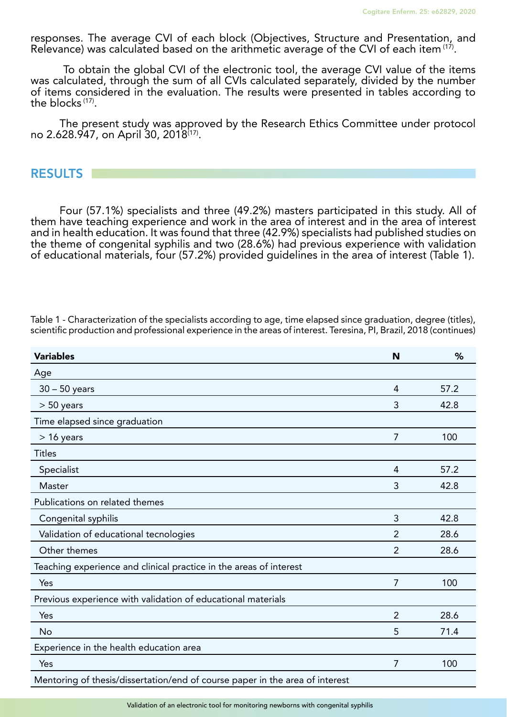responses. The average CVI of each block (Objectives, Structure and Presentation, and Relevance) was calculated based on the arithmetic average of the CVI of each item (17).

 To obtain the global CVI of the electronic tool, the average CVI value of the items was calculated, through the sum of all CVIs calculated separately, divided by the number of items considered in the evaluation. The results were presented in tables according to the blocks (17).

The present study was approved by the Research Ethics Committee under protocol no 2.628.947, on April 30, 2018(17).

**RESULTS** 

Four (57.1%) specialists and three (49.2%) masters participated in this study. All of them have teaching experience and work in the area of interest and in the area of interest and in health education. It was found that three (42.9%) specialists had published studies on the theme of congenital syphilis and two (28.6%) had previous experience with validation of educational materials, four (57.2%) provided guidelines in the area of interest (Table 1).

| <b>Variables</b>                                                             | N              | %    |
|------------------------------------------------------------------------------|----------------|------|
| Age                                                                          |                |      |
| $30 - 50$ years                                                              | $\overline{4}$ | 57.2 |
| $> 50$ years                                                                 | 3              | 42.8 |
| Time elapsed since graduation                                                |                |      |
| $> 16$ years                                                                 | $\overline{7}$ | 100  |
| <b>Titles</b>                                                                |                |      |
| Specialist                                                                   | $\overline{4}$ | 57.2 |
| Master                                                                       | 3              | 42.8 |
| Publications on related themes                                               |                |      |
| Congenital syphilis                                                          | 3              | 42.8 |
| Validation of educational tecnologies                                        | 2              | 28.6 |
| Other themes                                                                 | 2              | 28.6 |
| Teaching experience and clinical practice in the areas of interest           |                |      |
| Yes                                                                          | 7              | 100  |
| Previous experience with validation of educational materials                 |                |      |
| Yes                                                                          | $\overline{2}$ | 28.6 |
| <b>No</b>                                                                    | 5              | 71.4 |
| Experience in the health education area                                      |                |      |
| Yes                                                                          | $\overline{7}$ | 100  |
| Mentoring of thesis/dissertation/end of course paper in the area of interest |                |      |

Table 1 - Characterization of the specialists according to age, time elapsed since graduation, degree (titles), scientific production and professional experience in the areas of interest. Teresina, PI, Brazil, 2018 (continues)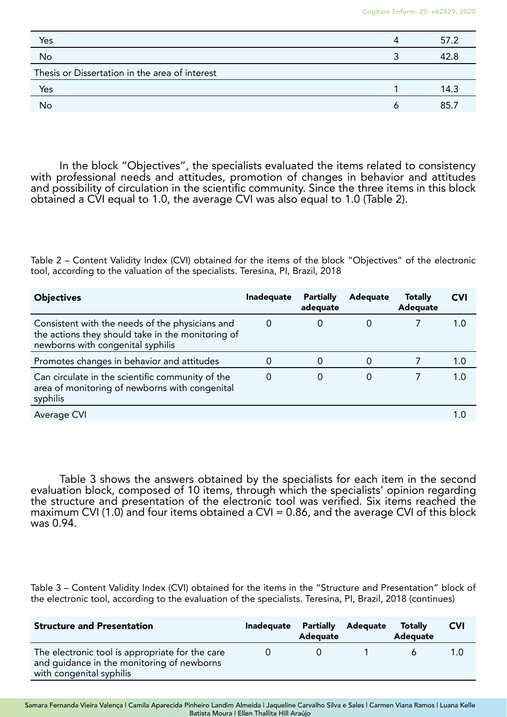| Yes                                            | Δ | 57.2 |
|------------------------------------------------|---|------|
| No                                             |   | 42.8 |
| Thesis or Dissertation in the area of interest |   |      |
| Yes                                            |   | 14.3 |
| No                                             |   | 85.7 |

In the block "Objectives", the specialists evaluated the items related to consistency with professional needs and attitudes, promotion of changes in behavior and attitudes and possibility of circulation in the scientific community. Since the three items in this block obtained a CVI equal to 1.0, the average CVI was also equal to 1.0 (Table 2).

Table 2 – Content Validity Index (CVI) obtained for the items of the block "Objectives" of the electronic tool, according to the valuation of the specialists. Teresina, PI, Brazil, 2018

| <b>Objectives</b>                                                                                                                         | Inadequate | <b>Partially</b><br>adequate | Adequate | <b>Totally</b><br>Adequate | CVI |
|-------------------------------------------------------------------------------------------------------------------------------------------|------------|------------------------------|----------|----------------------------|-----|
| Consistent with the needs of the physicians and<br>the actions they should take in the monitoring of<br>newborns with congenital syphilis |            | 0                            | 0        |                            | 1.0 |
| Promotes changes in behavior and attitudes                                                                                                |            | 0                            | 0        |                            | 1.0 |
| Can circulate in the scientific community of the<br>area of monitoring of newborns with congenital<br>syphilis                            |            | 0                            | 0        |                            | 1.0 |
| Average CVI                                                                                                                               |            |                              |          |                            |     |

Table 3 shows the answers obtained by the specialists for each item in the second evaluation block, composed of 10 items, through which the specialists' opinion regarding the structure and presentation of the electronic tool was verified. Six items reached the maximum CVI (1.0) and four items obtained a CVI = 0.86, and the average CVI of this block was 0.94.

Table 3 – Content Validity Index (CVI) obtained for the items in the "Structure and Presentation" block of the electronic tool, according to the evaluation of the specialists. Teresina, PI, Brazil, 2018 (continues)

| <b>Structure and Presentation</b>                                                                                         | Inadequate | Partially<br>Adequate | Adequate | <b>Totally</b><br>Adequate | <b>CVI</b> |
|---------------------------------------------------------------------------------------------------------------------------|------------|-----------------------|----------|----------------------------|------------|
| The electronic tool is appropriate for the care<br>and guidance in the monitoring of newborns<br>with congenital syphilis |            |                       |          |                            | 1.0        |

Samara Fernanda Vieira Valença | Camila Aparecida Pinheiro Landim Almeida | Jaqueline Carvalho Silva e Sales | Carmen Viana Ramos | Luana Kelle Batista Moura | Ellen Thallita Hill Araújo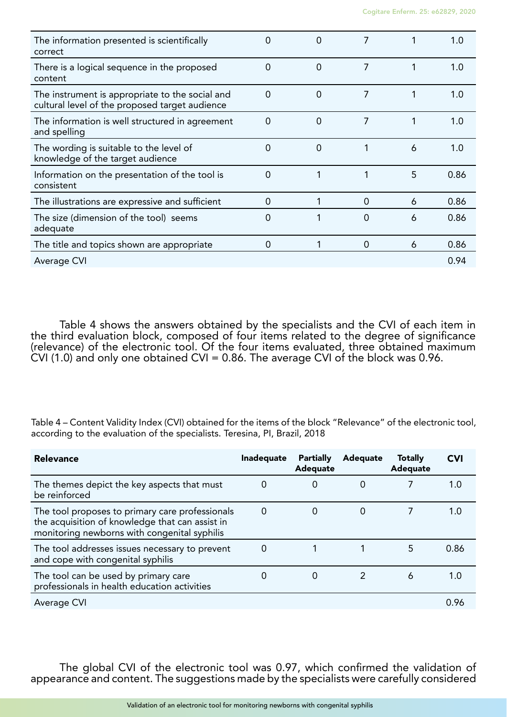| The information presented is scientifically<br>correct                                            | 0              | 0              | 7 |   | 1.0  |
|---------------------------------------------------------------------------------------------------|----------------|----------------|---|---|------|
| There is a logical sequence in the proposed<br>content                                            | 0              | $\overline{0}$ | 7 |   | 1.0  |
| The instrument is appropriate to the social and<br>cultural level of the proposed target audience | $\overline{0}$ | 0              | 7 |   | 1.0  |
| The information is well structured in agreement<br>and spelling                                   | $\Omega$       | 0              | 7 |   | 1.0  |
| The wording is suitable to the level of<br>knowledge of the target audience                       | 0              | 0              |   | 6 | 1.0  |
| Information on the presentation of the tool is<br>consistent                                      | 0              | 1              | 1 | 5 | 0.86 |
| The illustrations are expressive and sufficient                                                   | 0              |                | 0 | 6 | 0.86 |
| The size (dimension of the tool) seems<br>adequate                                                | 0              |                | 0 | 6 | 0.86 |
| The title and topics shown are appropriate                                                        | 0              |                | 0 | 6 | 0.86 |
| Average CVI                                                                                       |                |                |   |   | 0.94 |

Table 4 shows the answers obtained by the specialists and the CVI of each item in the third evaluation block, composed of four items related to the degree of significance (relevance) of the electronic tool. Of the four items evaluated, three obtained maximum CVI (1.0) and only one obtained CVI = 0.86. The average CVI of the block was 0.96.

Table 4 – Content Validity Index (CVI) obtained for the items of the block "Relevance" of the electronic tool, according to the evaluation of the specialists. Teresina, PI, Brazil, 2018

| <b>Relevance</b>                                                                                                                                   | <b>Inadequate</b> | Partially<br>Adequate | Adequate | <b>Totally</b><br>Adequate | CVI  |
|----------------------------------------------------------------------------------------------------------------------------------------------------|-------------------|-----------------------|----------|----------------------------|------|
| The themes depict the key aspects that must<br>be reinforced                                                                                       | O                 | 0                     | O        |                            | 1.0  |
| The tool proposes to primary care professionals<br>the acquisition of knowledge that can assist in<br>monitoring newborns with congenital syphilis | 0                 | 0                     | 0        |                            | 1.O  |
| The tool addresses issues necessary to prevent<br>and cope with congenital syphilis                                                                | 0                 |                       |          | 5                          | 0.86 |
| The tool can be used by primary care<br>professionals in health education activities                                                               |                   | 0                     | 2        | 6                          | 1.0  |
| Average CVI                                                                                                                                        |                   |                       |          |                            | 0.96 |

The global CVI of the electronic tool was 0.97, which confirmed the validation of appearance and content. The suggestions made by the specialists were carefully considered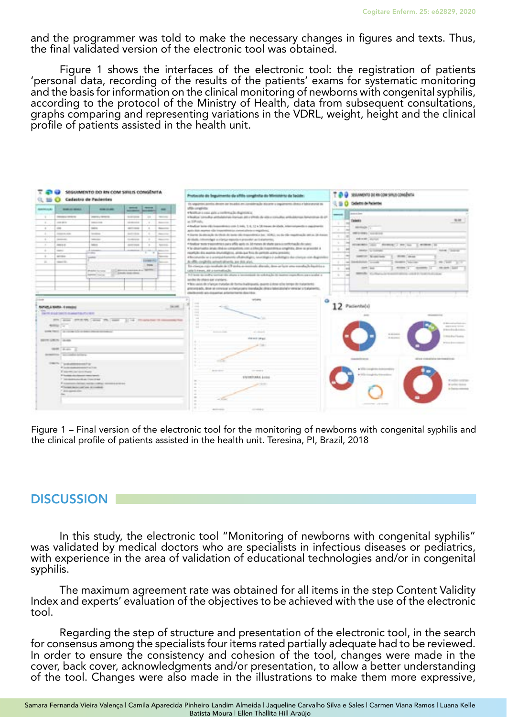and the programmer was told to make the necessary changes in figures and texts. Thus, the final validated version of the electronic tool was obtained.

Figure 1 shows the interfaces of the electronic tool: the registration of patients 'personal data, recording of the results of the patients' exams for systematic monitoring and the basis for information on the clinical monitoring of newborns with congenital syphilis, according to the protocol of the Ministry of Health, data from subsequent consultations, graphs comparing and representing variations in the VDRL, weight, height and the clinical profile of patients assisted in the health unit.



Figure 1 – Final version of the electronic tool for the monitoring of newborns with congenital syphilis and the clinical profile of patients assisted in the health unit. Teresina, PI, Brazil, 2018

### **DISCUSSION**

In this study, the electronic tool "Monitoring of newborns with congenital syphilis" was validated by medical doctors who are specialists in infectious diseases or pediatrics, with experience in the area of validation of educational technologies and/or in congenital syphilis.

The maximum agreement rate was obtained for all items in the step Content Validity Index and experts' evaluation of the objectives to be achieved with the use of the electronic tool.

Regarding the step of structure and presentation of the electronic tool, in the search for consensus among the specialists four items rated partially adequate had to be reviewed. In order to ensure the consistency and cohesion of the tool, changes were made in the cover, back cover, acknowledgments and/or presentation, to allow a better understanding of the tool. Changes were also made in the illustrations to make them more expressive,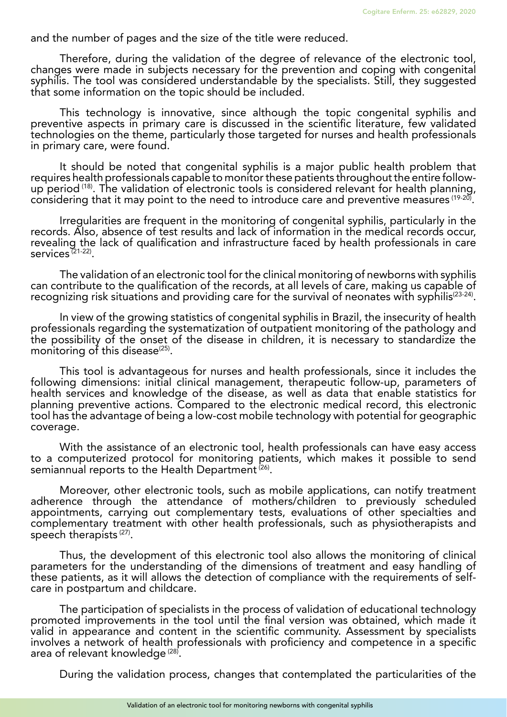and the number of pages and the size of the title were reduced.

Therefore, during the validation of the degree of relevance of the electronic tool, changes were made in subjects necessary for the prevention and coping with congenital syphilis. The tool was considered understandable by the specialists. Still, they suggested that some information on the topic should be included.

This technology is innovative, since although the topic congenital syphilis and preventive aspects in primary care is discussed in the scientific literature, few validated technologies on the theme, particularly those targeted for nurses and health professionals in primary care, were found.

It should be noted that congenital syphilis is a major public health problem that requires health professionals capable to monitor these patients throughout the entire followup period  $(18)$ . The validation of electronic tools is considered relevant for health planning, considering that it may point to the need to introduce care and preventive measures (19-20).

Irregularities are frequent in the monitoring of congenital syphilis, particularly in the records. Also, absence of test results and lack of information in the medical records occur, revealing the lack of qualification and infrastructure faced by health professionals in care services $(21-22)$ .

The validation of an electronic tool for the clinical monitoring of newborns with syphilis can contribute to the qualification of the records, at all levels of care, making us capable of recognizing risk situations and providing care for the survival of neonates with syphilis<sup>(23-24)</sup>.

In view of the growing statistics of congenital syphilis in Brazil, the insecurity of health professionals regarding the systematization of outpatient monitoring of the pathology and the possibility of the onset of the disease in children, it is necessary to standardize the monitoring of this disease $(25)$ .

This tool is advantageous for nurses and health professionals, since it includes the following dimensions: initial clinical management, therapeutic follow-up, parameters of health services and knowledge of the disease, as well as data that enable statistics for planning preventive actions. Compared to the electronic medical record, this electronic tool has the advantage of being a low-cost mobile technology with potential for geographic coverage.

With the assistance of an electronic tool, health professionals can have easy access to a computerized protocol for monitoring patients, which makes it possible to send semiannual reports to the Health Department<sup>(26)</sup>.

Moreover, other electronic tools, such as mobile applications, can notify treatment adherence through the attendance of mothers/children to previously scheduled appointments, carrying out complementary tests, evaluations of other specialties and complementary treatment with other health professionals, such as physiotherapists and speech therapists<sup>(27)</sup>.

Thus, the development of this electronic tool also allows the monitoring of clinical parameters for the understanding of the dimensions of treatment and easy handling of these patients, as it will allows the detection of compliance with the requirements of selfcare in postpartum and childcare.

The participation of specialists in the process of validation of educational technology promoted improvements in the tool until the final version was obtained, which made it valid in appearance and content in the scientific community. Assessment by specialists involves a network of health professionals with proficiency and competence in a specific area of relevant knowledge<sup>(28)</sup>.

During the validation process, changes that contemplated the particularities of the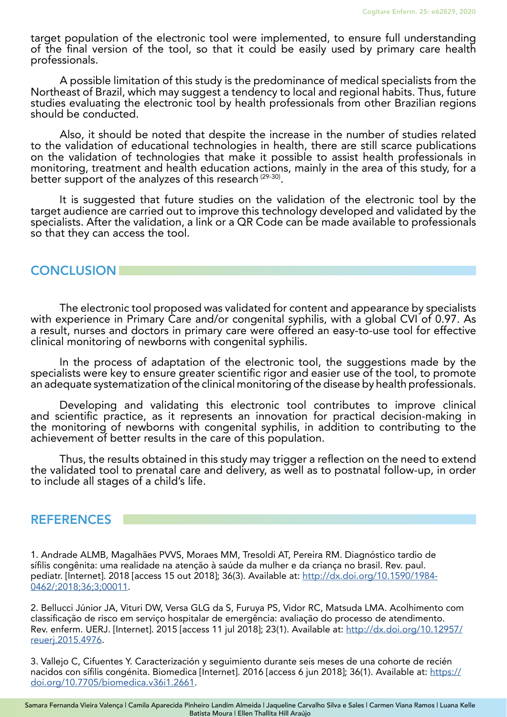target population of the electronic tool were implemented, to ensure full understanding of the final version of the tool, so that it could be easily used by primary care health professionals.

A possible limitation of this study is the predominance of medical specialists from the Northeast of Brazil, which may suggest a tendency to local and regional habits. Thus, future studies evaluating the electronic tool by health professionals from other Brazilian regions should be conducted.

Also, it should be noted that despite the increase in the number of studies related to the validation of educational technologies in health, there are still scarce publications on the validation of technologies that make it possible to assist health professionals in monitoring, treatment and health education actions, mainly in the area of this study, for a better support of the analyzes of this research (29-30).

It is suggested that future studies on the validation of the electronic tool by the target audience are carried out to improve this technology developed and validated by the specialists. After the validation, a link or a QR Code can be made available to professionals so that they can access the tool.

### **CONCLUSION**

The electronic tool proposed was validated for content and appearance by specialists with experience in Primary Care and/or congenital syphilis, with a global CVI of 0.97. As a result, nurses and doctors in primary care were offered an easy-to-use tool for effective clinical monitoring of newborns with congenital syphilis.

In the process of adaptation of the electronic tool, the suggestions made by the specialists were key to ensure greater scientific rigor and easier use of the tool, to promote an adequate systematization of the clinical monitoring of the disease by health professionals.

Developing and validating this electronic tool contributes to improve clinical and scientific practice, as it represents an innovation for practical decision-making in the monitoring of newborns with congenital syphilis, in addition to contributing to the achievement of better results in the care of this population.

Thus, the results obtained in this study may trigger a reflection on the need to extend the validated tool to prenatal care and delivery, as well as to postnatal follow-up, in order to include all stages of a child's life.

### **REFERENCES**

1. Andrade ALMB, Magalhães PVVS, Moraes MM, Tresoldi AT, Pereira RM. Diagnóstico tardio de sífilis congênita: uma realidade na atenção à saúde da mulher e da criança no brasil. Rev. paul. pediatr. [Internet]. 2018 [access 15 out 2018]; 36(3). Available at: [http://dx.doi.org/10.1590/1984-](http://dx.doi.org/10.1590/1984-0462/;2018;36;3;00011) [0462/;2018;36;3;00011](http://dx.doi.org/10.1590/1984-0462/;2018;36;3;00011).

2. Bellucci Júnior JA, Vituri DW, Versa GLG da S, Furuya PS, Vidor RC, Matsuda LMA. Acolhimento com classificação de risco em serviço hospitalar de emergência: avaliação do processo de atendimento. Rev. enferm. UERJ. [Internet]. 2015 [access 11 jul 2018]; 23(1). Available at: [http://dx.doi.org/10.12957/](http://dx.doi.org/10.12957/reuerj.2015.4976) [reuerj.2015.4976.](http://dx.doi.org/10.12957/reuerj.2015.4976)

3. Vallejo C, Cifuentes Y. Caracterización y seguimiento durante seis meses de una cohorte de recién nacidos con sífilis congénita. Biomedica [Internet]. 2016 [access 6 jun 2018]; 36(1). Available at: [https://](https://doi.org/10.7705/biomedica.v36i1.2661) [doi.org/10.7705/biomedica.v36i1.2661](https://doi.org/10.7705/biomedica.v36i1.2661).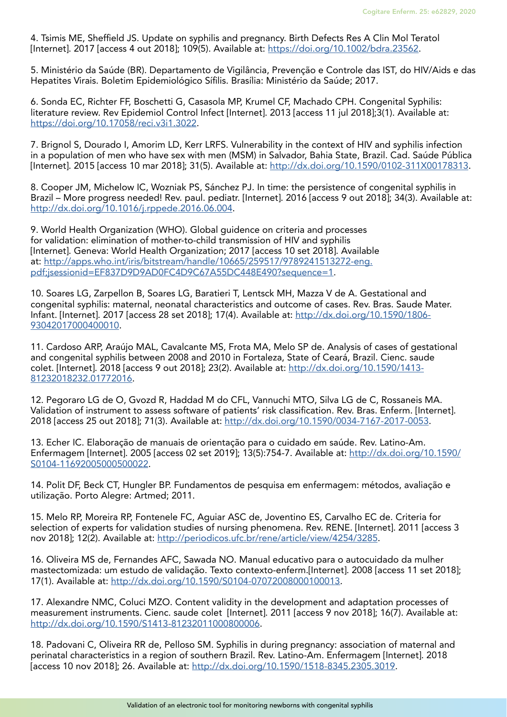4. Tsimis ME, Sheffield JS. Update on syphilis and pregnancy. Birth Defects Res A Clin Mol Teratol [Internet]. 2017 [access 4 out 2018]; 109(5). Available at: [https://doi.org/10.1002/bdra.23562.](https://doi.org/10.1002/bdra.23562)

5. Ministério da Saúde (BR). Departamento de Vigilância, Prevenção e Controle das IST, do HIV/Aids e das Hepatites Virais. Boletim Epidemiológico Sífilis. Brasília: Ministério da Saúde; 2017.

6. Sonda EC, Richter FF, Boschetti G, Casasola MP, Krumel CF, Machado CPH. Congenital Syphilis: literature review. Rev Epidemiol Control Infect [Internet]. 2013 [access 11 jul 2018];3(1). Available at: [https://doi.org/10.17058/reci.v3i1.3022.](https://doi.org/10.17058/reci.v3i1.3022)

7. Brignol S, Dourado I, Amorim LD, Kerr LRFS. Vulnerability in the context of HIV and syphilis infection in a population of men who have sex with men (MSM) in Salvador, Bahia State, Brazil. Cad. Saúde Pública [Internet]. 2015 [access 10 mar 2018]; 31(5). Available at:<http://dx.doi.org/10.1590/0102-311X00178313>.

8. Cooper JM, Michelow IC, Wozniak PS, Sánchez PJ. In time: the persistence of congenital syphilis in Brazil – More progress needed! Rev. paul. pediatr. [Internet]. 2016 [access 9 out 2018]; 34(3). Available at: <http://dx.doi.org/10.1016/j.rppede.2016.06.004>.

9. World Health Organization (WHO). Global guidence on criteria and processes for validation: elimination of mother-to-child transmission of HIV and syphilis [Internet]. Geneva: World Health Organization; 2017 [access 10 set 2018]. Available at: [http://apps.who.int/iris/bitstream/handle/10665/259517/9789241513272-eng.](http://apps.who.int/iris/bitstream/handle/10665/259517/9789241513272-eng.pdf;jsessionid=EF837D9D9AD0FC4D9C67A55DC448E490?sequence=1) [pdf;jsessionid=EF837D9D9AD0FC4D9C67A55DC448E490?sequence=1.](http://apps.who.int/iris/bitstream/handle/10665/259517/9789241513272-eng.pdf;jsessionid=EF837D9D9AD0FC4D9C67A55DC448E490?sequence=1)

10. Soares LG, Zarpellon B, Soares LG, Baratieri T, Lentsck MH, Mazza V de A. Gestational and congenital syphilis: maternal, neonatal characteristics and outcome of cases. Rev. Bras. Saude Mater. Infant. [Internet]. 2017 [access 28 set 2018]; 17(4). Available at: [http://dx.doi.org/10.1590/1806-](http://dx.doi.org/10.1590/1806-93042017000400010) [93042017000400010.](http://dx.doi.org/10.1590/1806-93042017000400010)

11. Cardoso ARP, Araújo MAL, Cavalcante MS, Frota MA, Melo SP de. Analysis of cases of gestational and congenital syphilis between 2008 and 2010 in Fortaleza, State of Ceará, Brazil. Cienc. saude colet. [Internet]. 2018 [access 9 out 2018]; 23(2). Available at: [http://dx.doi.org/10.1590/1413-](http://dx.doi.org/10.1590/1413-81232018232.01772016) [81232018232.01772016](http://dx.doi.org/10.1590/1413-81232018232.01772016).

12. Pegoraro LG de O, Gvozd R, Haddad M do CFL, Vannuchi MTO, Silva LG de C, Rossaneis MA. Validation of instrument to assess software of patients' risk classification. Rev. Bras. Enferm. [Internet]. 2018 [access 25 out 2018]; 71(3). Available at: [http://dx.doi.org/10.1590/0034-7167-2017-0053.](http://dx.doi.org/10.1590/0034-7167-2017-0053)

13. Echer IC. Elaboração de manuais de orientação para o cuidado em saúde. Rev. Latino-Am. Enfermagem [Internet]. 2005 [access 02 set 2019]; 13(5):754-7. Available at: [http://dx.doi.org/10.1590/](http://dx.doi.org/10.1590/S0104-11692005000500022) [S0104-11692005000500022](http://dx.doi.org/10.1590/S0104-11692005000500022).

14. Polit DF, Beck CT, Hungler BP. Fundamentos de pesquisa em enfermagem: métodos, avaliação e utilização. Porto Alegre: Artmed; 2011.

15. Melo RP, Moreira RP, Fontenele FC, Aguiar ASC de, Joventino ES, Carvalho EC de. Criteria for selection of experts for validation studies of nursing phenomena. Rev. RENE. [Internet]. 2011 [access 3 nov 2018]; 12(2). Available at: [http://periodicos.ufc.br/rene/article/view/4254/3285.](http://periodicos.ufc.br/rene/article/view/4254/3285)

16. Oliveira MS de, Fernandes AFC, Sawada NO. Manual educativo para o autocuidado da mulher mastectomizada: um estudo de validação. Texto contexto-enferm.[Internet]. 2008 [access 11 set 2018]; 17(1). Available at:<http://dx.doi.org/10.1590/S0104-07072008000100013>.

17. Alexandre NMC, Coluci MZO. Content validity in the development and adaptation processes of measurement instruments. Cienc. saude colet [Internet]. 2011 [access 9 nov 2018]; 16(7). Available at: <http://dx.doi.org/10.1590/S1413-81232011000800006>.

18. Padovani C, Oliveira RR de, Pelloso SM. Syphilis in during pregnancy: association of maternal and perinatal characteristics in a region of southern Brazil. Rev. Latino-Am. Enfermagem [Internet]. 2018 [access 10 nov 2018]; 26. Available at: <http://dx.doi.org/10.1590/1518-8345.2305.3019>.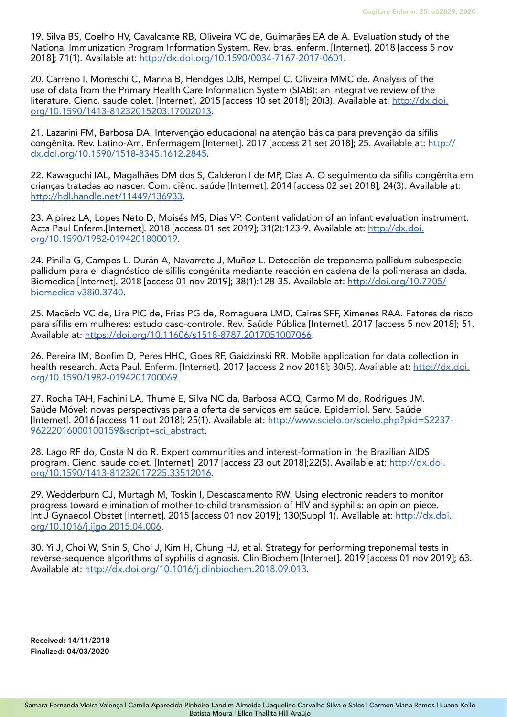19. Silva BS, Coelho HV, Cavalcante RB, Oliveira VC de, Guimarães EA de A. Evaluation study of the National Immunization Program Information System. Rev. bras. enferm. [Internet]. 2018 [access 5 nov 2018]; 71(1). Available at: <http://dx.doi.org/10.1590/0034-7167-2017-0601>.

20. Carreno I, Moreschi C, Marina B, Hendges DJB, Rempel C, Oliveira MMC de. Analysis of the use of data from the Primary Health Care Information System (SIAB): an integrative review of the literature. Cienc. saude colet. [Internet]. 2015 [access 10 set 2018]; 20(3). Available at: [http://dx.doi.](http://dx.doi.org/10.1590/1413-81232015203.17002013) [org/10.1590/1413-81232015203.17002013](http://dx.doi.org/10.1590/1413-81232015203.17002013).

21. Lazarini FM, Barbosa DA. Intervenção educacional na atenção básica para prevenção da sífilis congênita. Rev. Latino-Am. Enfermagem [Internet]. 2017 [access 21 set 2018]; 25. Available at: [http://](http://dx.doi.org/10.1590/1518-8345.1612.2845) [dx.doi.org/10.1590/1518-8345.1612.2845.](http://dx.doi.org/10.1590/1518-8345.1612.2845)

22. Kawaguchi IAL, Magalhães DM dos S, Calderon I de MP, Dias A. O seguimento da sífilis congênita em crianças tratadas ao nascer. Com. ciênc. saúde [Internet]. 2014 [access 02 set 2018]; 24(3). Available at: <http://hdl.handle.net/11449/136933>.

23. Alpirez LA, Lopes Neto D, Moisés MS, Dias VP. Content validation of an infant evaluation instrument. Acta Paul Enferm.[Internet]. 2018 [access 01 set 2019]; 31(2):123-9. Available at: [http://dx.doi.](http://dx.doi.org/10.1590/1982-0194201800019) [org/10.1590/1982-0194201800019](http://dx.doi.org/10.1590/1982-0194201800019).

24. Pinilla G, Campos L, Durán A, Navarrete J, Muñoz L. Detección de treponema pallidum subespecie pallidum para el diagnóstico de sífilis congénita mediante reacción en cadena de la polimerasa anidada. Biomedica [Internet]. 2018 [access 01 nov 2019]; 38(1):128-35. Available at: [http://doi.org/10.7705/](http://doi.org/10.7705/biomedica.v38i0.3740) [biomedica.v38i0.3740.](http://doi.org/10.7705/biomedica.v38i0.3740)

25. Macêdo VC de, Lira PIC de, Frias PG de, Romaguera LMD, Caires SFF, Ximenes RAA. Fatores de risco para sífilis em mulheres: estudo caso-controle. Rev. Saúde Pública [Internet]. 2017 [access 5 nov 2018]; 51. Available at: [https://doi.org/10.11606/s1518-8787.2017051007066.](https://doi.org/10.11606/s1518-8787.2017051007066)

26. Pereira IM, Bonfim D, Peres HHC, Goes RF, Gaidzinski RR. Mobile application for data collection in health research. Acta Paul. Enferm. [Internet]. 2017 [access 2 nov 2018]; 30(5). Available at: [http://dx.doi.](http://dx.doi.org/10.1590/1982-0194201700069) [org/10.1590/1982-0194201700069](http://dx.doi.org/10.1590/1982-0194201700069).

27. Rocha TAH, Fachini LA, Thumé E, Silva NC da, Barbosa ACQ, Carmo M do, Rodrigues JM. Saúde Móvel: novas perspectivas para a oferta de serviços em saúde. Epidemiol. Serv. Saúde [Internet]. 2016 [access 11 out 2018]; 25(1). Available at: [http://www.scielo.br/scielo.php?pid=S2237-](http://www.scielo.br/scielo.php?pid=S2237-96222016000100159&script=sci_abstract) [96222016000100159&script=sci\\_abstract](http://www.scielo.br/scielo.php?pid=S2237-96222016000100159&script=sci_abstract).

28. Lago RF do, Costa N do R. Expert communities and interest-formation in the Brazilian AIDS program. Cienc. saude colet. [Internet]. 2017 [access 23 out 2018];22(5). Available at: [http://dx.doi.](http://dx.doi.org/10.1590/1413-81232017225.33512016) [org/10.1590/1413-81232017225.33512016](http://dx.doi.org/10.1590/1413-81232017225.33512016).

29. Wedderburn CJ, Murtagh M, Toskin I, Descascamento RW. Using electronic readers to monitor progress toward elimination of mother-to-child transmission of HIV and syphilis: an opinion piece. Int J Gynaecol Obstet [Internet]. 2015 [access 01 nov 2019]; 130(Suppl 1). Available at: [http://dx.doi.](http://dx.doi.org/10.1016/j.ijgo.2015.04.006) [org/10.1016/j.ijgo.2015.04.006](http://dx.doi.org/10.1016/j.ijgo.2015.04.006).

30. Yi J, Choi W, Shin S, Choi J, Kim H, Chung HJ, et al. Strategy for performing treponemal tests in reverse-sequence algorithms of syphilis diagnosis. Clin Biochem [Internet]. 2019 [access 01 nov 2019]; 63. Available at: <http://dx.doi.org/10.1016/j.clinbiochem.2018.09.013>.

Received: 14/11/2018 Finalized: 04/03/2020